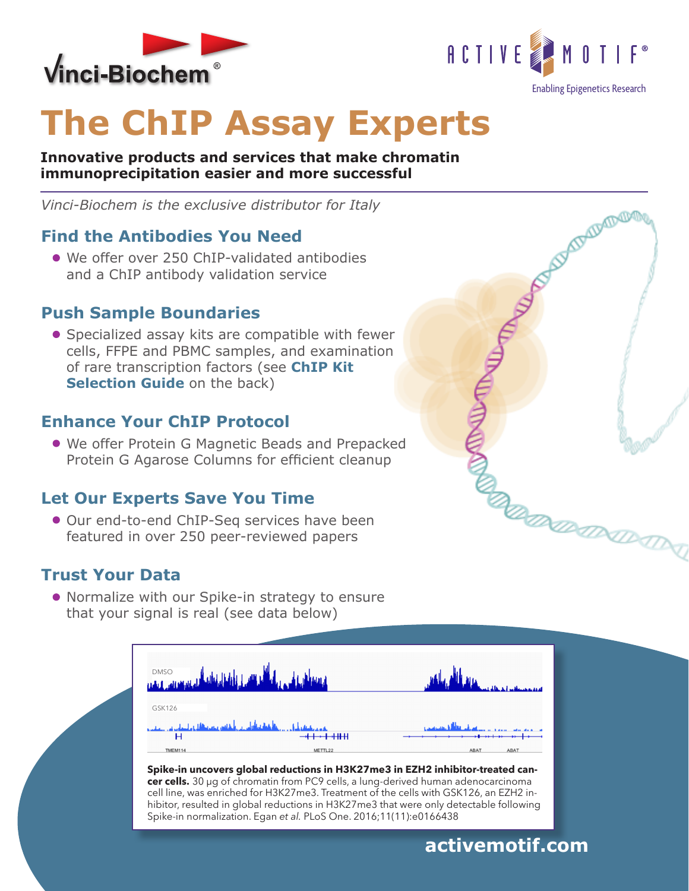



# **The ChIP Assay Experts**

**Innovative products and services that make chromatin immunoprecipitation easier and more successful**

*Vinci-Biochem is the exclusive distributor for Italy*

#### **Find the Antibodies You Need**

We offer over 250 ChIP-validated antibodies and a ChIP antibody validation service

#### **Push Sample Boundaries**

**•** Specialized assay kits are compatible with fewer cells, FFPE and PBMC samples, and examination of rare transcription factors (see **ChIP Kit Selection Guide** on the back)

#### **Enhance Your ChIP Protocol**

We offer Protein G Magnetic Beads and Prepacked Protein G Agarose Columns for efficient cleanup

#### **Let Our Experts Save You Time**

● Our end-to-end ChIP-Seq services have been featured in over 250 peer-reviewed papers

#### **Trust Your Data**

Normalize with our Spike-in strategy to ensure that your signal is real (see data below)

| DMSO <b>John Hall Hall Hall Hall John Hall Hall Hall Hall Hall</b>        |         |                                    |
|---------------------------------------------------------------------------|---------|------------------------------------|
| GSK126                                                                    |         |                                    |
| ىقىم بەيگەنلەر كەنگەنلەينىڭ ئاھتىدىن باشقەن مەھمەتلەر ئەلىسلەپ سى بىلەت ب |         | <u>litt skatus i van die als d</u> |
|                                                                           |         |                                    |
| <b>TMEM114</b>                                                            | METTL22 | ABAT<br>ABAT                       |

**Spike-in uncovers global reductions in H3K27me3 in EZH2 inhibitor-treated cancer cells**. 30 µg of chromatin from PC9 cells, a lung-derived human adenocarcinoma cell line, was enriched for H3K27me3. Treatment of the cells with GSK126, an EZH2 inhibitor, resulted in global reductions in H3K27me3 that were only detectable following Spike-in normalization. Egan *et al.* PLoS One. 2016;11(11):e0166438



#### **activemotif.com**